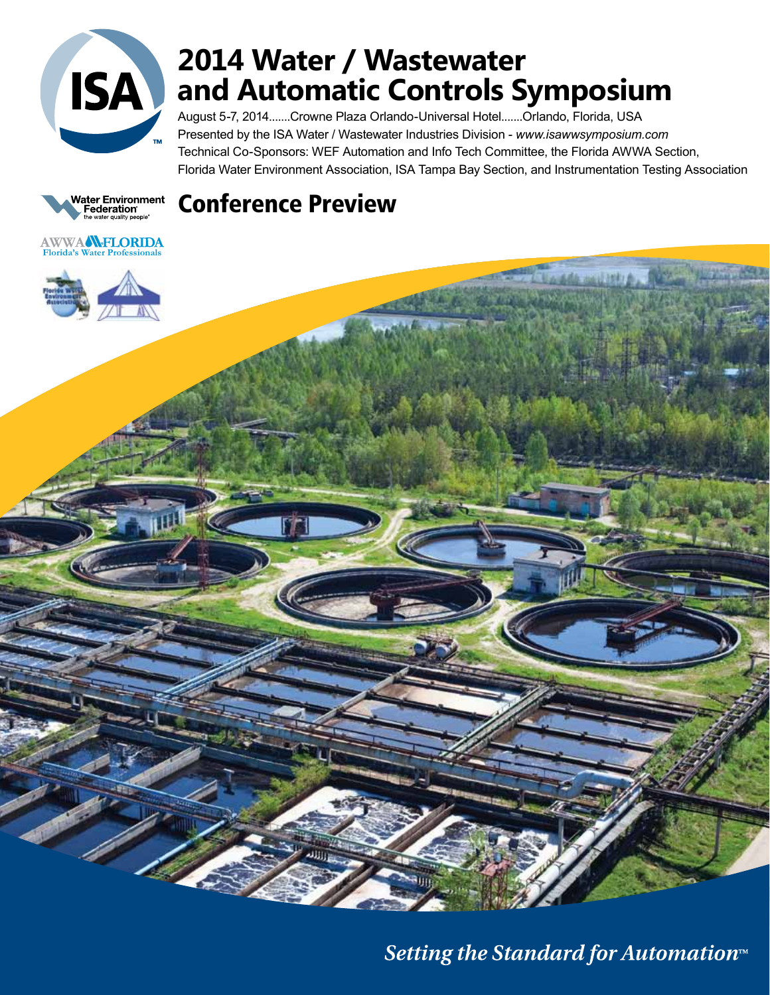

# **2014 Water / Wastewater and Automatic Controls Symposium**

August 5-7, 2014.......Crowne Plaza Orlando-Universal Hotel.......Orlando, Florida, USA Presented by the ISA Water / Wastewater Industries Division - *www.isawwsymposium.com* Technical Co-Sponsors: WEF Automation and Info Tech Committee, the Florida AWWA Section, Florida Water Environment Association, ISA Tampa Bay Section, and Instrumentation Testing Association



# Conference Preview



Setting the Standard for Automation™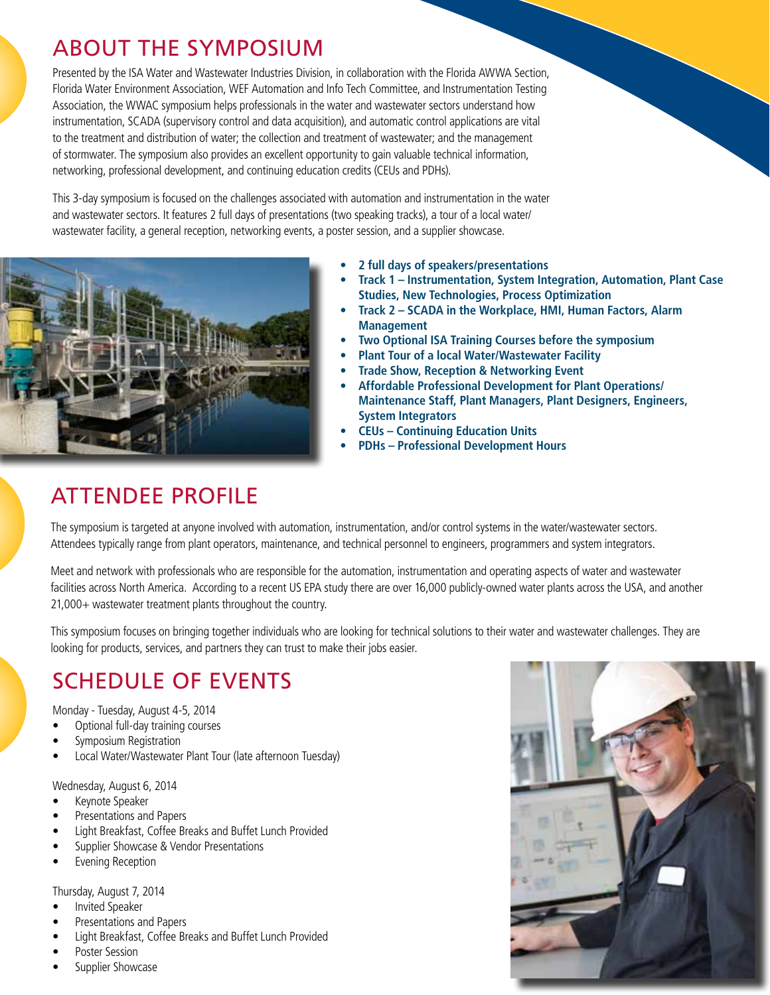# ABOUT THE SYMPOSIUM

Presented by the ISA Water and Wastewater Industries Division, in collaboration with the Florida AWWA Section, Florida Water Environment Association, WEF Automation and Info Tech Committee, and Instrumentation Testing Association, the WWAC symposium helps professionals in the water and wastewater sectors understand how instrumentation, SCADA (supervisory control and data acquisition), and automatic control applications are vital to the treatment and distribution of water; the collection and treatment of wastewater; and the management of stormwater. The symposium also provides an excellent opportunity to gain valuable technical information, networking, professional development, and continuing education credits (CEUs and PDHs).

This 3-day symposium is focused on the challenges associated with automation and instrumentation in the water and wastewater sectors. It features 2 full days of presentations (two speaking tracks), a tour of a local water/ wastewater facility, a general reception, networking events, a poster session, and a supplier showcase.



- **2 full days of speakers/presentations**
- **Track 1 Instrumentation, System Integration, Automation, Plant Case Studies, New Technologies, Process Optimization**
- **Track 2 SCADA in the Workplace, HMI, Human Factors, Alarm Management**
- **Two Optional ISA Training Courses before the symposium**
- **Plant Tour of a local Water/Wastewater Facility**
- **Trade Show, Reception & Networking Event**
- **Affordable Professional Development for Plant Operations/ Maintenance Staff, Plant Managers, Plant Designers, Engineers, System Integrators**
- **CEUs Continuing Education Units**
- **PDHs Professional Development Hours**

# ATTENDEE PROFILE

The symposium is targeted at anyone involved with automation, instrumentation, and/or control systems in the water/wastewater sectors. Attendees typically range from plant operators, maintenance, and technical personnel to engineers, programmers and system integrators.

Meet and network with professionals who are responsible for the automation, instrumentation and operating aspects of water and wastewater facilities across North America. According to a recent US EPA study there are over 16,000 publicly-owned water plants across the USA, and another 21,000+ wastewater treatment plants throughout the country.

This symposium focuses on bringing together individuals who are looking for technical solutions to their water and wastewater challenges. They are looking for products, services, and partners they can trust to make their jobs easier.

# SCHEDULE OF EVENTS

Monday - Tuesday, August 4-5, 2014

- • Optional full-day training courses
- Symposium Registration
- Local Water/Wastewater Plant Tour (late afternoon Tuesday)

Wednesday, August 6, 2014

- Keynote Speaker
- Presentations and Papers
- • Light Breakfast, Coffee Breaks and Buffet Lunch Provided
- Supplier Showcase & Vendor Presentations
- • Evening Reception

Thursday, August 7, 2014

- Invited Speaker
- Presentations and Papers
- Light Breakfast, Coffee Breaks and Buffet Lunch Provided
- Poster Session
- Supplier Showcase

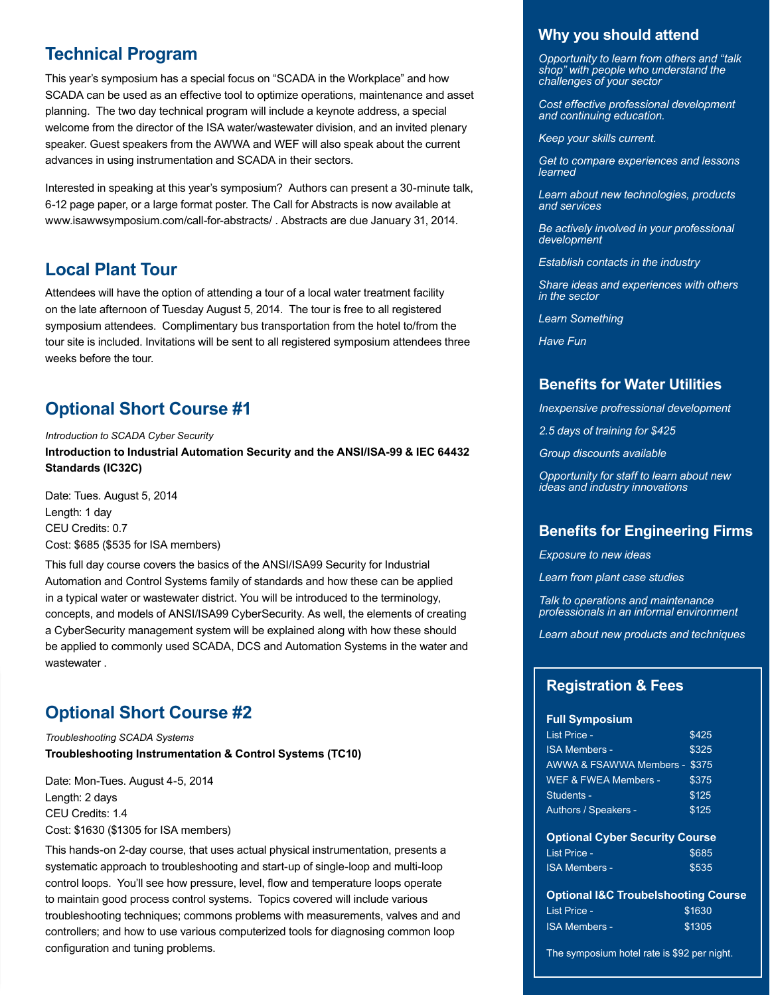## **Technical Program**

This year's symposium has a special focus on "SCADA in the Workplace" and how SCADA can be used as an effective tool to optimize operations, maintenance and asset planning. The two day technical program will include a keynote address, a special welcome from the director of the ISA water/wastewater division, and an invited plenary speaker. Guest speakers from the AWWA and WEF will also speak about the current advances in using instrumentation and SCADA in their sectors.

Interested in speaking at this year's symposium? Authors can present a 30-minute talk, 6-12 page paper, or a large format poster. The Call for Abstracts is now available at www.isawwsymposium.com/call-for-abstracts/ . Abstracts are due January 31, 2014.

## **Local Plant Tour**

Attendees will have the option of attending a tour of a local water treatment facility on the late afternoon of Tuesday August 5, 2014. The tour is free to all registered symposium attendees. Complimentary bus transportation from the hotel to/from the tour site is included. Invitations will be sent to all registered symposium attendees three weeks before the tour.

## **Optional Short Course #1**

*Introduction to SCADA Cyber Security* **Introduction to Industrial Automation Security and the ANSI/ISA-99 & IEC 64432 Standards (IC32C)** 

Date: Tues. August 5, 2014 Length: 1 day CEU Credits: 0.7 Cost: \$685 (\$535 for ISA members)

This full day course covers the basics of the ANSI/ISA99 Security for Industrial Automation and Control Systems family of standards and how these can be applied in a typical water or wastewater district. You will be introduced to the terminology, concepts, and models of ANSI/ISA99 CyberSecurity. As well, the elements of creating a CyberSecurity management system will be explained along with how these should be applied to commonly used SCADA, DCS and Automation Systems in the water and wastewater .

## **Optional Short Course #2**

*Troubleshooting SCADA Systems* **Troubleshooting Instrumentation & Control Systems (TC10)**

Date: Mon-Tues. August 4-5, 2014 Length: 2 days CEU Credits: 1.4 Cost: \$1630 (\$1305 for ISA members)

This hands-on 2-day course, that uses actual physical instrumentation, presents a systematic approach to troubleshooting and start-up of single-loop and multi-loop control loops. You'll see how pressure, level, flow and temperature loops operate to maintain good process control systems. Topics covered will include various troubleshooting techniques; commons problems with measurements, valves and and controllers; and how to use various computerized tools for diagnosing common loop configuration and tuning problems.

### **Why you should attend**

*Opportunity to learn from others and "talk shop" with people who understand the challenges of your sector* 

*Cost effective professional development and continuing education.* 

*Keep your skills current.*

*Get to compare experiences and lessons learned*

*Learn about new technologies, products and services*

*Be actively involved in your professional development*

*Establish contacts in the industry*

*Share ideas and experiences with others in the sector*

*Learn Something*

*Have Fun*

### **Benefits for Water Utilities**

*Inexpensive profressional development*

*2.5 days of training for \$425*

*Group discounts available*

*Opportunity for staff to learn about new ideas and industry innovations*

### **Benefits for Engineering Firms**

*Exposure to new ideas*

*Learn from plant case studies*

*Talk to operations and maintenance professionals in an informal environment*

*Learn about new products and techniques*

### **Registration & Fees**

#### **Full Symposium**

| <b>List Price -</b>           | \$425 |
|-------------------------------|-------|
| <b>ISA Members -</b>          | \$325 |
| AWWA & FSAWWA Members - \$375 |       |
| WEF & FWEA Members -          | \$375 |
| Students -                    | \$125 |
| <b>Authors / Speakers -</b>   | \$125 |
|                               |       |

#### **Optional Cyber Security Course**

| List Price -  | \$685 |
|---------------|-------|
| ISA Members - | \$535 |

#### **Optional I&C Troubelshooting Course**

| List Price -  | \$1630 |
|---------------|--------|
| ISA Members - | \$1305 |

The symposium hotel rate is \$92 per night.